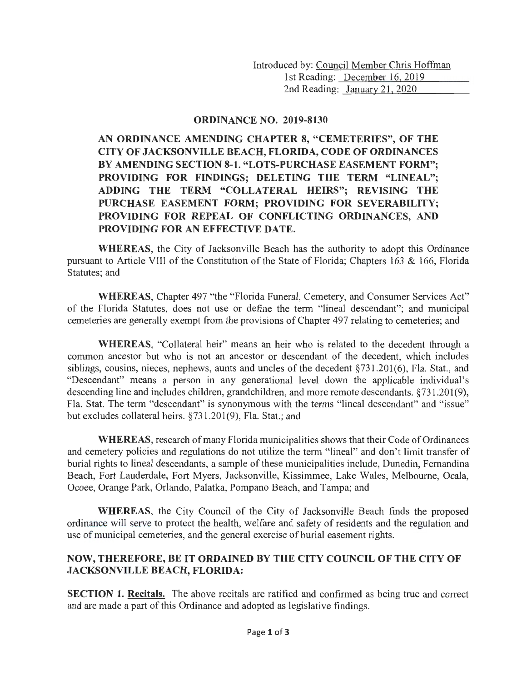Introduced by: Council Member Chris Hoffman 1st Reading: December 16, 2019 2nd Reading: January 21, 2020

## **ORDINANCE NO. 2019-8130**

**AN ORDINANCE AMENDING CHAPTER 8, "CEMETERIES", OF THE CITY OF JACKSONVILLE BEACH, FLORIDA, CODE OF ORDINANCES BY AMENDING SECTION 8-1. "LOTS-PURCHASE EASEMENT FORM"; PROVIDING FOR FINDINGS; DELETING THE TERM "LINEAL"; ADDING THE TERM "COLLATERAL HEIRS"; REVISING THE PURCHASE EASEMENT FORM; PROVIDING FOR SEVERABILITY; PROVIDING FOR REPEAL OF CONFLICTING ORDINANCES, AND PROVIDING FOR AN EFFECTIVE DATE.** 

**WHEREAS,** the City of Jacksonville Beach has the authority to adopt this Ordinance pursuant to Article VIII of the Constitution of the State of Florida; Chapters 163 & 166, Florida Statutes; and

**WHEREAS,** Chapter 497 "the "Florida Funeral, Cemetery, and Consumer Services Act" of the Florida Statutes, does not use or define the term "lineal descendant"; and municipal cemeteries are generally exempt from the provisions of Chapter 497 relating to cemeteries; and

**WHEREAS,** "Collateral heir" means an heir who is related to the decedent through a common ancestor but who is not an ancestor or descendant of the decedent, which includes siblings, cousins, nieces, nephews, aunts and uncles of the decedent §731.201(6), Fla. Stat., and "Descendant" means a person in any generational level down the applicable individual's descending line and includes children, grandchildren, and more remote descendants. §731.201(9), Fla. Stat. The term "descendant" is synonymous with the terms "lineal descendant" and "issue" but excludes collateral heirs. §731.201(9), Fla. Stat.; and

**WHEREAS,** research of many Florida municipalities shows that their Code of Ordinances and cemetery policies and regulations do not utilize the term "lineal" and don't limit transfer of burial rights to lineal descendants, a sample of these municipalities include, Dunedin, Fernandina Beach, Fort Lauderdale, Fort Myers, Jacksonville, Kissimmee, Lake Wales, Melbourne, Ocala, Ocoee, Orange Park, Orlando, Palatka, Pompano Beach, and Tampa; and

**WHEREAS,** the City Council of the City of Jacksonville Beach finds the proposed ordinance will serve to protect the health, welfare and safety of residents and the regulation and use of municipal cemeteries, and the general exercise of burial easement rights.

## **NOW, THEREFORE, BE IT ORDAINED BY THE CITY COUNCIL OF THE CITY OF JACKSONVILLE BEACH, FLORIDA:**

**SECTION 1. Recitals.** The above recitals are ratified and confirmed as being true and correct and are made a part of this Ordinance and adopted as legislative findings.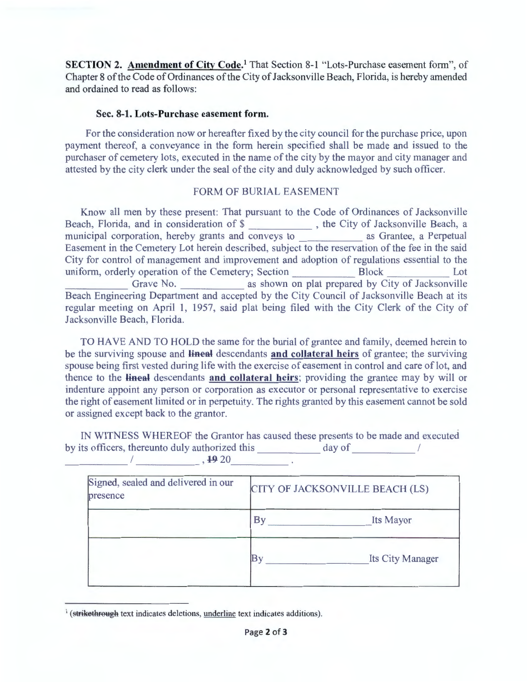**SECTION 2. Amendment of City Code.**<sup>1</sup> That Section 8-1 "Lots-Purchase easement form", of Chapter 8 of the Code of Ordinances of the City of Jacksonville Beach, Florida, is hereby amended and ordained to read as follows:

## **Sec. 8-1. Lots-Purchase easement form.**

For the consideration now or hereafter fixed by the city council for the purchase price, upon payment thereof, a conveyance in the form herein specified shall be made and issued to the purchaser of cemetery lots, executed in the name of the city by the mayor and city manager and attested by the city clerk under the seal of the city and duly acknowledged by such officer.

## FORM OF BURIAL EASEMENT

Know all men by these present: That pursuant to the Code of Ordinances of Jacksonville Beach, Florida, and in consideration of \$\_\_\_\_\_\_\_\_\_\_\_\_\_, the City of Jacksonville Beach, a municipal corporation, hereby grants and conveys to \_\_\_\_\_\_\_\_\_\_\_\_\_ as Grantee, a Perpetual Easement in the Cemetery Lot herein described, subject to the reservation of the fee in the said City for control of management and improvement and adoption of regulations essential to the uniform, orderly operation of the Cemetery; Section Block Lot Grave No. as shown on plat prepared by City of Jacksonville Beach Engineering Department and accepted by the City Council of Jacksonville Beach at its regular meeting on April 1, 1957, said plat being filed with the City Clerk of the City of Jacksonville Beach, Florida.

TO HAVE AND TO HOLD the same for the burial of grantee and family, deemed herein to be the surviving spouse and **lineal** descendants **and collateral heirs** of grantee; the surviving spouse being first vested during life with the exercise of easement in control and care of lot, and thence to the **lineal** descendants **and collateral heirs**; providing the grantee may by will or indenture appoint any person or corporation as executor or personal representative to exercise the right of easement limited or in perpetuity. The rights granted by this easement cannot be sold or assigned except back to the grantor.

IN WITNESS WHEREOF the Grantor has caused these presents to be made and executed by its officers, thereunto duly authorized this day of /  $1, 1920$ 

Signed, sealed and delivered in our  $\begin{bmatrix} \text{CITY OF JACKSONville BEACH (LS)} \end{bmatrix}$ presence By Its Mayor By Its City Manager

<sup>&</sup>lt;sup>1</sup> (strikethrough text indicates deletions, underline text indicates additions).